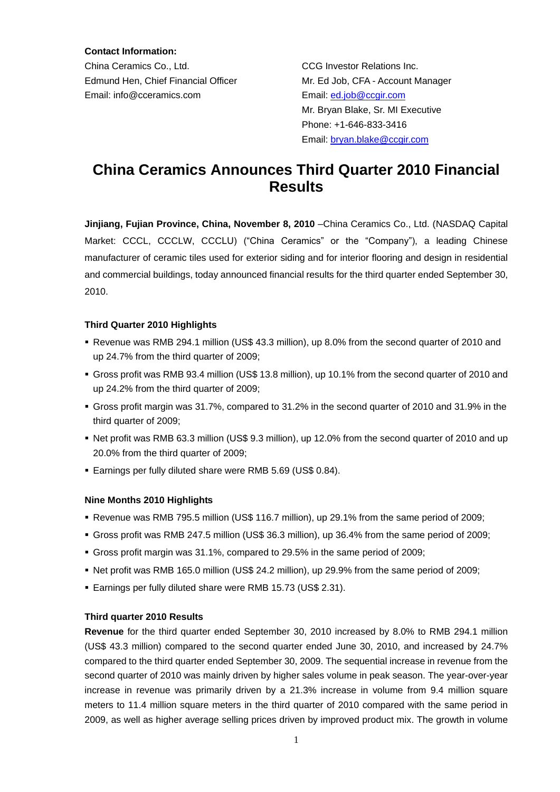**Contact Information:**

China Ceramics Co., Ltd. CCG Investor Relations Inc. Edmund Hen, Chief Financial Officer Mr. Ed Job, CFA - Account Manager Email: info@cceramics.com Email: [ed.job@ccgir.com](mailto:ed.job@ccgir.com)

 Mr. Bryan Blake, Sr. MI Executive Phone: +1-646-833-3416 Email: [bryan.blake@ccgir.com](mailto:bryan.blake@ccgir.com)

# **China Ceramics Announces Third Quarter 2010 Financial Results**

**Jinjiang, Fujian Province, China, November 8, 2010** –China Ceramics Co., Ltd. (NASDAQ Capital Market: CCCL, CCCLW, CCCLU) ("China Ceramics" or the "Company"), a leading Chinese manufacturer of ceramic tiles used for exterior siding and for interior flooring and design in residential and commercial buildings, today announced financial results for the third quarter ended September 30, 2010.

# **Third Quarter 2010 Highlights**

- Revenue was RMB 294.1 million (US\$ 43.3 million), up 8.0% from the second quarter of 2010 and up 24.7% from the third quarter of 2009;
- Gross profit was RMB 93.4 million (US\$ 13.8 million), up 10.1% from the second quarter of 2010 and up 24.2% from the third quarter of 2009;
- Gross profit margin was 31.7%, compared to 31.2% in the second quarter of 2010 and 31.9% in the third quarter of 2009;
- Net profit was RMB 63.3 million (US\$ 9.3 million), up 12.0% from the second quarter of 2010 and up 20.0% from the third quarter of 2009;
- Earnings per fully diluted share were RMB 5.69 (US\$ 0.84).

# **Nine Months 2010 Highlights**

- Revenue was RMB 795.5 million (US\$ 116.7 million), up 29.1% from the same period of 2009;
- Gross profit was RMB 247.5 million (US\$ 36.3 million), up 36.4% from the same period of 2009;
- Gross profit margin was 31.1%, compared to 29.5% in the same period of 2009:
- Net profit was RMB 165.0 million (US\$ 24.2 million), up 29.9% from the same period of 2009;
- Earnings per fully diluted share were RMB 15.73 (US\$ 2.31).

# **Third quarter 2010 Results**

**Revenue** for the third quarter ended September 30, 2010 increased by 8.0% to RMB 294.1 million (US\$ 43.3 million) compared to the second quarter ended June 30, 2010, and increased by 24.7% compared to the third quarter ended September 30, 2009. The sequential increase in revenue from the second quarter of 2010 was mainly driven by higher sales volume in peak season. The year-over-year increase in revenue was primarily driven by a 21.3% increase in volume from 9.4 million square meters to 11.4 million square meters in the third quarter of 2010 compared with the same period in 2009, as well as higher average selling prices driven by improved product mix. The growth in volume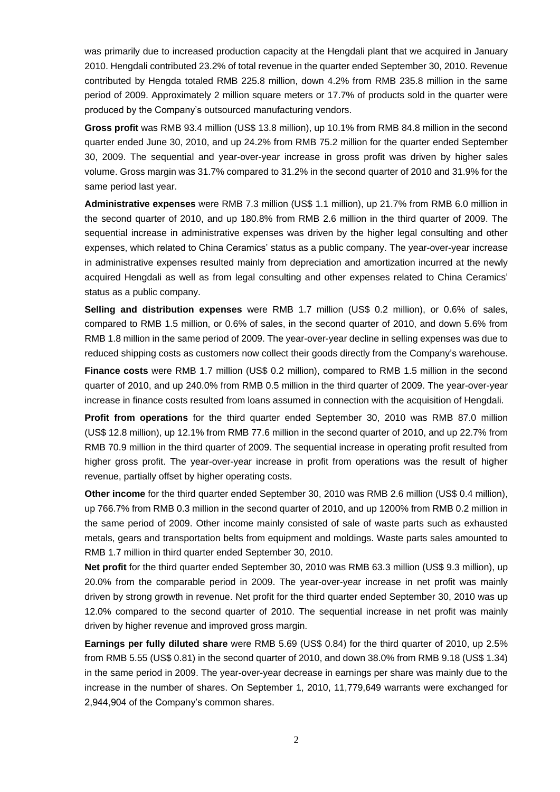was primarily due to increased production capacity at the Hengdali plant that we acquired in January 2010. Hengdali contributed 23.2% of total revenue in the quarter ended September 30, 2010. Revenue contributed by Hengda totaled RMB 225.8 million, down 4.2% from RMB 235.8 million in the same period of 2009. Approximately 2 million square meters or 17.7% of products sold in the quarter were produced by the Company's outsourced manufacturing vendors.

**Gross profit** was RMB 93.4 million (US\$ 13.8 million), up 10.1% from RMB 84.8 million in the second quarter ended June 30, 2010, and up 24.2% from RMB 75.2 million for the quarter ended September 30, 2009. The sequential and year-over-year increase in gross profit was driven by higher sales volume. Gross margin was 31.7% compared to 31.2% in the second quarter of 2010 and 31.9% for the same period last year.

**Administrative expenses** were RMB 7.3 million (US\$ 1.1 million), up 21.7% from RMB 6.0 million in the second quarter of 2010, and up 180.8% from RMB 2.6 million in the third quarter of 2009. The sequential increase in administrative expenses was driven by the higher legal consulting and other expenses, which related to China Ceramics' status as a public company. The year-over-year increase in administrative expenses resulted mainly from depreciation and amortization incurred at the newly acquired Hengdali as well as from legal consulting and other expenses related to China Ceramics' status as a public company.

**Selling and distribution expenses** were RMB 1.7 million (US\$ 0.2 million), or 0.6% of sales, compared to RMB 1.5 million, or 0.6% of sales, in the second quarter of 2010, and down 5.6% from RMB 1.8 million in the same period of 2009. The year-over-year decline in selling expenses was due to reduced shipping costs as customers now collect their goods directly from the Company's warehouse.

**Finance costs** were RMB 1.7 million (US\$ 0.2 million), compared to RMB 1.5 million in the second quarter of 2010, and up 240.0% from RMB 0.5 million in the third quarter of 2009. The year-over-year increase in finance costs resulted from loans assumed in connection with the acquisition of Hengdali.

**Profit from operations** for the third quarter ended September 30, 2010 was RMB 87.0 million (US\$ 12.8 million), up 12.1% from RMB 77.6 million in the second quarter of 2010, and up 22.7% from RMB 70.9 million in the third quarter of 2009. The sequential increase in operating profit resulted from higher gross profit. The year-over-year increase in profit from operations was the result of higher revenue, partially offset by higher operating costs.

**Other income** for the third quarter ended September 30, 2010 was RMB 2.6 million (US\$ 0.4 million), up 766.7% from RMB 0.3 million in the second quarter of 2010, and up 1200% from RMB 0.2 million in the same period of 2009. Other income mainly consisted of sale of waste parts such as exhausted metals, gears and transportation belts from equipment and moldings. Waste parts sales amounted to RMB 1.7 million in third quarter ended September 30, 2010.

Net profit for the third quarter ended September 30, 2010 was RMB 63.3 million (US\$ 9.3 million), up 20.0% from the comparable period in 2009. The year-over-year increase in net profit was mainly driven by strong growth in revenue. Net profit for the third quarter ended September 30, 2010 was up 12.0% compared to the second quarter of 2010. The sequential increase in net profit was mainly driven by higher revenue and improved gross margin.

**Earnings per fully diluted share** were RMB 5.69 (US\$ 0.84) for the third quarter of 2010, up 2.5% from RMB 5.55 (US\$ 0.81) in the second quarter of 2010, and down 38.0% from RMB 9.18 (US\$ 1.34) in the same period in 2009. The year-over-year decrease in earnings per share was mainly due to the increase in the number of shares. On September 1, 2010, 11,779,649 warrants were exchanged for 2,944,904 of the Company's common shares.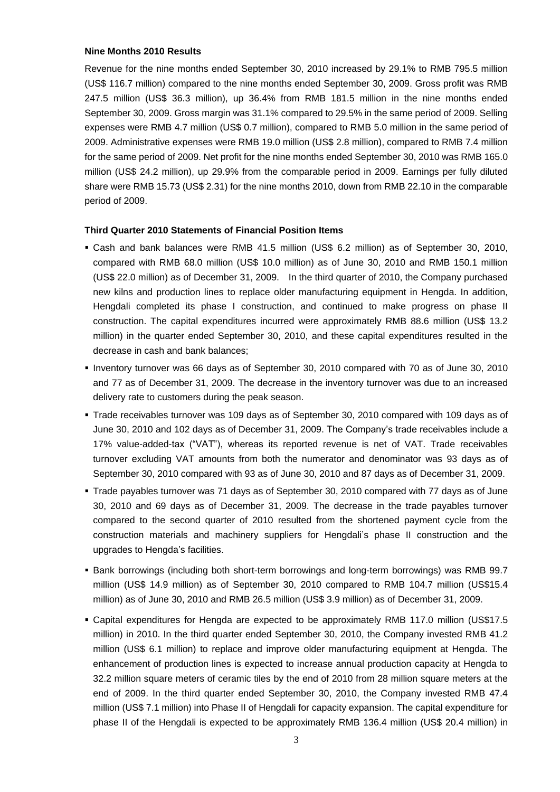#### **Nine Months 2010 Results**

Revenue for the nine months ended September 30, 2010 increased by 29.1% to RMB 795.5 million (US\$ 116.7 million) compared to the nine months ended September 30, 2009. Gross profit was RMB 247.5 million (US\$ 36.3 million), up 36.4% from RMB 181.5 million in the nine months ended September 30, 2009. Gross margin was 31.1% compared to 29.5% in the same period of 2009. Selling expenses were RMB 4.7 million (US\$ 0.7 million), compared to RMB 5.0 million in the same period of 2009. Administrative expenses were RMB 19.0 million (US\$ 2.8 million), compared to RMB 7.4 million for the same period of 2009. Net profit for the nine months ended September 30, 2010 was RMB 165.0 million (US\$ 24.2 million), up 29.9% from the comparable period in 2009. Earnings per fully diluted share were RMB 15.73 (US\$ 2.31) for the nine months 2010, down from RMB 22.10 in the comparable period of 2009.

#### **Third Quarter 2010 Statements of Financial Position Items**

- Cash and bank balances were RMB 41.5 million (US\$ 6.2 million) as of September 30, 2010, compared with RMB 68.0 million (US\$ 10.0 million) as of June 30, 2010 and RMB 150.1 million (US\$ 22.0 million) as of December 31, 2009. In the third quarter of 2010, the Company purchased new kilns and production lines to replace older manufacturing equipment in Hengda. In addition, Hengdali completed its phase I construction, and continued to make progress on phase II construction. The capital expenditures incurred were approximately RMB 88.6 million (US\$ 13.2 million) in the quarter ended September 30, 2010, and these capital expenditures resulted in the decrease in cash and bank balances;
- Inventory turnover was 66 days as of September 30, 2010 compared with 70 as of June 30, 2010 and 77 as of December 31, 2009. The decrease in the inventory turnover was due to an increased delivery rate to customers during the peak season.
- Trade receivables turnover was 109 days as of September 30, 2010 compared with 109 days as of June 30, 2010 and 102 days as of December 31, 2009. The Company's trade receivables include a 17% value-added-tax ("VAT"), whereas its reported revenue is net of VAT. Trade receivables turnover excluding VAT amounts from both the numerator and denominator was 93 days as of September 30, 2010 compared with 93 as of June 30, 2010 and 87 days as of December 31, 2009.
- Trade payables turnover was 71 days as of September 30, 2010 compared with 77 days as of June 30, 2010 and 69 days as of December 31, 2009. The decrease in the trade payables turnover compared to the second quarter of 2010 resulted from the shortened payment cycle from the construction materials and machinery suppliers for Hengdali's phase II construction and the upgrades to Hengda's facilities.
- Bank borrowings (including both short-term borrowings and long-term borrowings) was RMB 99.7 million (US\$ 14.9 million) as of September 30, 2010 compared to RMB 104.7 million (US\$15.4 million) as of June 30, 2010 and RMB 26.5 million (US\$ 3.9 million) as of December 31, 2009.
- Capital expenditures for Hengda are expected to be approximately RMB 117.0 million (US\$17.5 million) in 2010. In the third quarter ended September 30, 2010, the Company invested RMB 41.2 million (US\$ 6.1 million) to replace and improve older manufacturing equipment at Hengda. The enhancement of production lines is expected to increase annual production capacity at Hengda to 32.2 million square meters of ceramic tiles by the end of 2010 from 28 million square meters at the end of 2009. In the third quarter ended September 30, 2010, the Company invested RMB 47.4 million (US\$ 7.1 million) into Phase II of Hengdali for capacity expansion. The capital expenditure for phase II of the Hengdali is expected to be approximately RMB 136.4 million (US\$ 20.4 million) in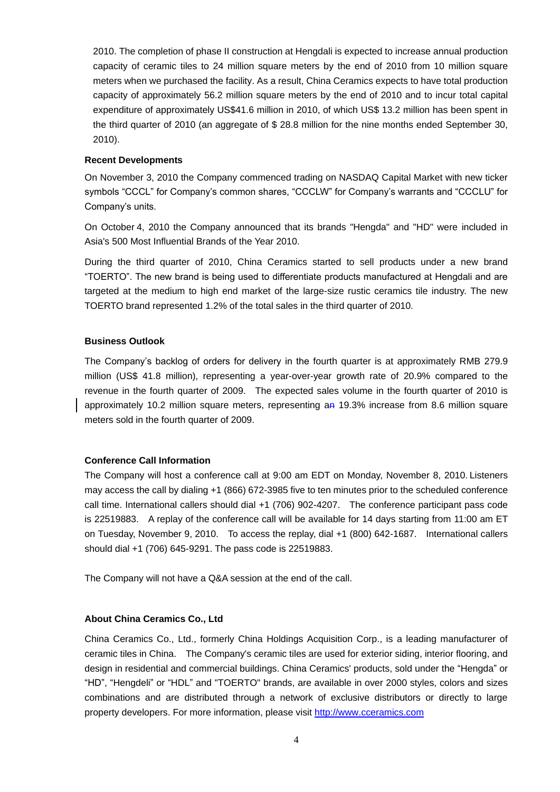2010. The completion of phase II construction at Hengdali is expected to increase annual production capacity of ceramic tiles to 24 million square meters by the end of 2010 from 10 million square meters when we purchased the facility. As a result, China Ceramics expects to have total production capacity of approximately 56.2 million square meters by the end of 2010 and to incur total capital expenditure of approximately US\$41.6 million in 2010, of which US\$ 13.2 million has been spent in the third quarter of 2010 (an aggregate of \$ 28.8 million for the nine months ended September 30, 2010).

### **Recent Developments**

On November 3, 2010 the Company commenced trading on NASDAQ Capital Market with new ticker symbols "CCCL" for Company's common shares, "CCCLW" for Company's warrants and "CCCLU" for Company's units.

On October 4, 2010 the Company announced that its brands "Hengda" and "HD" were included in Asia's 500 Most Influential Brands of the Year 2010.

During the third quarter of 2010, China Ceramics started to sell products under a new brand "TOERTO". The new brand is being used to differentiate products manufactured at Hengdali and are targeted at the medium to high end market of the large-size rustic ceramics tile industry. The new TOERTO brand represented 1.2% of the total sales in the third quarter of 2010.

### **Business Outlook**

The Company's backlog of orders for delivery in the fourth quarter is at approximately RMB 279.9 million (US\$ 41.8 million), representing a year-over-year growth rate of 20.9% compared to the revenue in the fourth quarter of 2009. The expected sales volume in the fourth quarter of 2010 is approximately 10.2 million square meters, representing an 19.3% increase from 8.6 million square meters sold in the fourth quarter of 2009.

# **Conference Call Information**

The Company will host a conference call at 9:00 am EDT on Monday, November 8, 2010. Listeners may access the call by dialing +1 (866) 672-3985 five to ten minutes prior to the scheduled conference call time. International callers should dial +1 (706) 902-4207. The conference participant pass code is 22519883. A replay of the conference call will be available for 14 days starting from 11:00 am ET on Tuesday, November 9, 2010. To access the replay, dial +1 (800) 642-1687. International callers should dial +1 (706) 645-9291. The pass code is 22519883.

The Company will not have a Q&A session at the end of the call.

# **About China Ceramics Co., Ltd**

China Ceramics Co., Ltd., formerly China Holdings Acquisition Corp., is a leading manufacturer of ceramic tiles in China. The Company's ceramic tiles are used for exterior siding, interior flooring, and design in residential and commercial buildings. China Ceramics' products, sold under the "Hengda" or "HD", "Hengdeli" or "HDL" and "TOERTO" brands, are available in over 2000 styles, colors and sizes combinations and are distributed through a network of exclusive distributors or directly to large property developers. For more information, please visit [http://www.cceramics.com](http://www.cceramics.com/)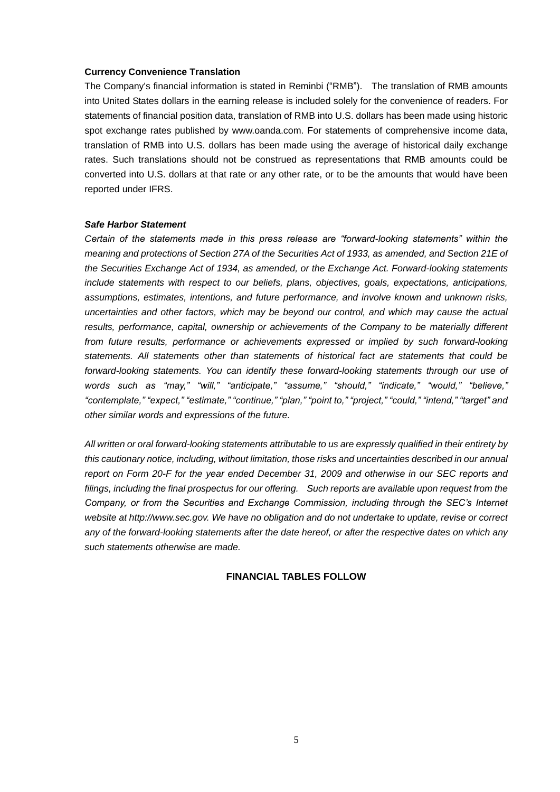#### **Currency Convenience Translation**

The Company's financial information is stated in Reminbi ("RMB"). The translation of RMB amounts into United States dollars in the earning release is included solely for the convenience of readers. For statements of financial position data, translation of RMB into U.S. dollars has been made using historic spot exchange rates published by www.oanda.com. For statements of comprehensive income data, translation of RMB into U.S. dollars has been made using the average of historical daily exchange rates. Such translations should not be construed as representations that RMB amounts could be converted into U.S. dollars at that rate or any other rate, or to be the amounts that would have been reported under IFRS.

#### *Safe Harbor Statement*

*Certain of the statements made in this press release are "forward-looking statements" within the meaning and protections of Section 27A of the Securities Act of 1933, as amended, and Section 21E of the Securities Exchange Act of 1934, as amended, or the Exchange Act. Forward-looking statements include statements with respect to our beliefs, plans, objectives, goals, expectations, anticipations, assumptions, estimates, intentions, and future performance, and involve known and unknown risks, uncertainties and other factors, which may be beyond our control, and which may cause the actual results, performance, capital, ownership or achievements of the Company to be materially different from future results, performance or achievements expressed or implied by such forward-looking statements. All statements other than statements of historical fact are statements that could be forward-looking statements. You can identify these forward-looking statements through our use of words such as "may," "will," "anticipate," "assume," "should," "indicate," "would," "believe," "contemplate," "expect," "estimate," "continue," "plan," "point to," "project," "could," "intend," "target" and other similar words and expressions of the future.* 

*All written or oral forward-looking statements attributable to us are expressly qualified in their entirety by this cautionary notice, including, without limitation, those risks and uncertainties described in our annual report on Form 20-F for the year ended December 31, 2009 and otherwise in our SEC reports and filings, including the final prospectus for our offering. Such reports are available upon request from the Company, or from the Securities and Exchange Commission, including through the SEC's Internet website at http://www.sec.gov. We have no obligation and do not undertake to update, revise or correct any of the forward-looking statements after the date hereof, or after the respective dates on which any such statements otherwise are made.*

### **FINANCIAL TABLES FOLLOW**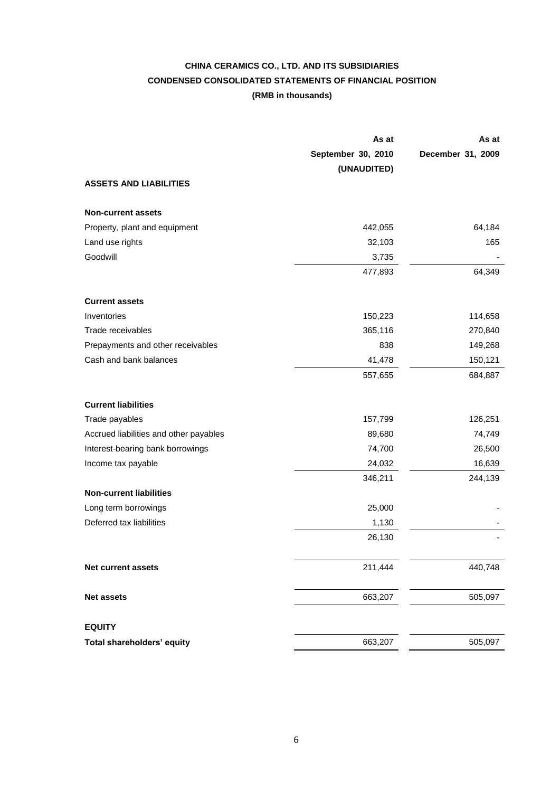# **CHINA CERAMICS CO., LTD. AND ITS SUBSIDIARIES CONDENSED CONSOLIDATED STATEMENTS OF FINANCIAL POSITION (RMB in thousands)**

|                                        | As at                             | As at             |
|----------------------------------------|-----------------------------------|-------------------|
|                                        | September 30, 2010<br>(UNAUDITED) | December 31, 2009 |
| <b>ASSETS AND LIABILITIES</b>          |                                   |                   |
| <b>Non-current assets</b>              |                                   |                   |
| Property, plant and equipment          | 442,055                           | 64,184            |
| Land use rights                        | 32,103                            | 165               |
| Goodwill                               | 3,735                             |                   |
|                                        | 477,893                           | 64,349            |
| <b>Current assets</b>                  |                                   |                   |
| Inventories                            | 150,223                           | 114,658           |
| Trade receivables                      | 365,116                           | 270,840           |
| Prepayments and other receivables      | 838                               | 149,268           |
| Cash and bank balances                 | 41,478                            | 150,121           |
|                                        | 557,655                           | 684,887           |
| <b>Current liabilities</b>             |                                   |                   |
| Trade payables                         | 157,799                           | 126,251           |
| Accrued liabilities and other payables | 89,680                            | 74,749            |
| Interest-bearing bank borrowings       | 74,700                            | 26,500            |
| Income tax payable                     | 24,032                            | 16,639            |
|                                        | 346,211                           | 244,139           |
| <b>Non-current liabilities</b>         |                                   |                   |
| Long term borrowings                   | 25,000                            |                   |
| Deferred tax liabilities               | 1,130                             |                   |
|                                        | 26,130                            |                   |
| Net current assets                     | 211,444                           | 440,748           |
| <b>Net assets</b>                      | 663,207                           | 505,097           |
| <b>EQUITY</b>                          |                                   |                   |
| Total shareholders' equity             | 663,207                           | 505,097           |
|                                        |                                   |                   |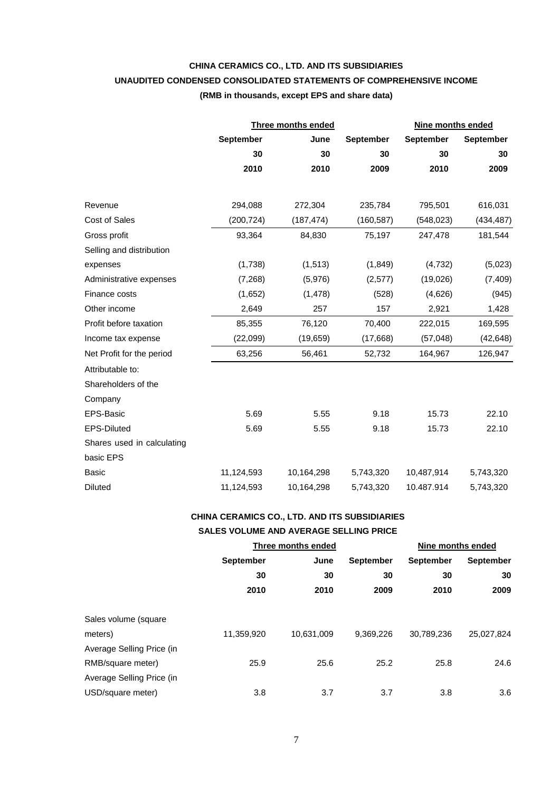# **CHINA CERAMICS CO., LTD. AND ITS SUBSIDIARIES UNAUDITED CONDENSED CONSOLIDATED STATEMENTS OF COMPREHENSIVE INCOME (RMB in thousands, except EPS and share data)**

|                            |                  | <b>Three months ended</b> |                  | Nine months ended |                  |
|----------------------------|------------------|---------------------------|------------------|-------------------|------------------|
|                            | <b>September</b> | June                      | <b>September</b> | <b>September</b>  | <b>September</b> |
|                            | 30               | 30                        | 30               | 30                | 30               |
|                            | 2010             | 2010                      | 2009             | 2010              | 2009             |
|                            |                  |                           |                  |                   |                  |
| Revenue                    | 294,088          | 272,304                   | 235,784          | 795,501           | 616,031          |
| Cost of Sales              | (200, 724)       | (187, 474)                | (160, 587)       | (548, 023)        | (434, 487)       |
| Gross profit               | 93,364           | 84,830                    | 75,197           | 247,478           | 181,544          |
| Selling and distribution   |                  |                           |                  |                   |                  |
| expenses                   | (1,738)          | (1, 513)                  | (1, 849)         | (4, 732)          | (5,023)          |
| Administrative expenses    | (7,268)          | (5,976)                   | (2,577)          | (19,026)          | (7, 409)         |
| Finance costs              | (1,652)          | (1, 478)                  | (528)            | (4,626)           | (945)            |
| Other income               | 2,649            | 257                       | 157              | 2,921             | 1,428            |
| Profit before taxation     | 85,355           | 76,120                    | 70,400           | 222,015           | 169,595          |
| Income tax expense         | (22,099)         | (19, 659)                 | (17,668)         | (57, 048)         | (42, 648)        |
| Net Profit for the period  | 63,256           | 56,461                    | 52,732           | 164,967           | 126,947          |
| Attributable to:           |                  |                           |                  |                   |                  |
| Shareholders of the        |                  |                           |                  |                   |                  |
| Company                    |                  |                           |                  |                   |                  |
| EPS-Basic                  | 5.69             | 5.55                      | 9.18             | 15.73             | 22.10            |
| <b>EPS-Diluted</b>         | 5.69             | 5.55                      | 9.18             | 15.73             | 22.10            |
| Shares used in calculating |                  |                           |                  |                   |                  |
| basic EPS                  |                  |                           |                  |                   |                  |
| <b>Basic</b>               | 11,124,593       | 10,164,298                | 5,743,320        | 10,487,914        | 5,743,320        |
| <b>Diluted</b>             | 11,124,593       | 10,164,298                | 5,743,320        | 10.487.914        | 5,743,320        |

# **CHINA CERAMICS CO., LTD. AND ITS SUBSIDIARIES**

### **SALES VOLUME AND AVERAGE SELLING PRICE**

|                           | Three months ended |            |                  | Nine months ended |                  |
|---------------------------|--------------------|------------|------------------|-------------------|------------------|
|                           | <b>September</b>   | June       | <b>September</b> | <b>September</b>  | <b>September</b> |
|                           | 30                 | 30         | 30               | 30                | 30               |
|                           | 2010               | 2010       | 2009             | 2010              | 2009             |
|                           |                    |            |                  |                   |                  |
| Sales volume (square      |                    |            |                  |                   |                  |
| meters)                   | 11,359,920         | 10,631,009 | 9,369,226        | 30,789,236        | 25,027,824       |
| Average Selling Price (in |                    |            |                  |                   |                  |
| RMB/square meter)         | 25.9               | 25.6       | 25.2             | 25.8              | 24.6             |
| Average Selling Price (in |                    |            |                  |                   |                  |
| USD/square meter)         | 3.8                | 3.7        | 3.7              | 3.8               | 3.6              |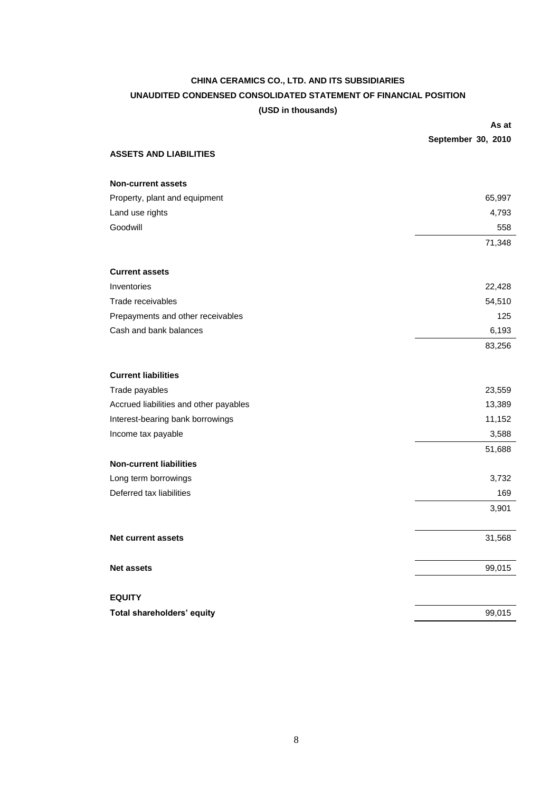# **CHINA CERAMICS CO., LTD. AND ITS SUBSIDIARIES UNAUDITED CONDENSED CONSOLIDATED STATEMENT OF FINANCIAL POSITION (USD in thousands)**

|                                        | As at              |
|----------------------------------------|--------------------|
|                                        | September 30, 2010 |
| <b>ASSETS AND LIABILITIES</b>          |                    |
| <b>Non-current assets</b>              |                    |
| Property, plant and equipment          | 65,997             |
| Land use rights                        | 4,793              |
| Goodwill                               | 558                |
|                                        | 71,348             |
| <b>Current assets</b>                  |                    |
| Inventories                            | 22,428             |
| Trade receivables                      | 54,510             |
| Prepayments and other receivables      | 125                |
| Cash and bank balances                 | 6,193              |
|                                        | 83,256             |
| <b>Current liabilities</b>             |                    |
| Trade payables                         | 23,559             |
| Accrued liabilities and other payables | 13,389             |
| Interest-bearing bank borrowings       | 11,152             |
| Income tax payable                     | 3,588              |
|                                        | 51,688             |
| <b>Non-current liabilities</b>         |                    |
| Long term borrowings                   | 3,732              |
| Deferred tax liabilities               | 169                |
|                                        | 3,901              |
| <b>Net current assets</b>              | 31,568             |
| <b>Net assets</b>                      | 99,015             |
| <b>EQUITY</b>                          |                    |
| Total shareholders' equity             | 99,015             |